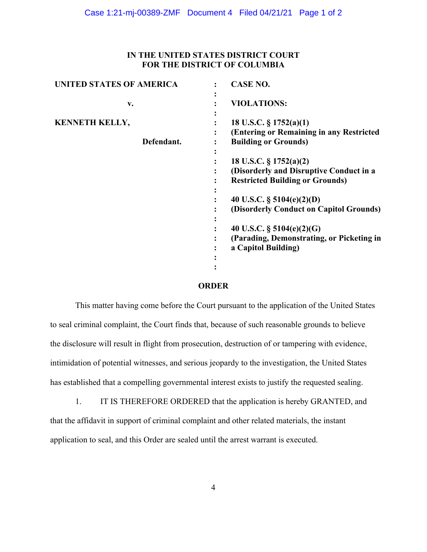## **IN THE UNITED STATES DISTRICT COURT FOR THE DISTRICT OF COLUMBIA**

| <b>UNITED STATES OF AMERICA</b>     | <b>CASE NO.</b>                                                                                             |
|-------------------------------------|-------------------------------------------------------------------------------------------------------------|
| v.                                  | <b>VIOLATIONS:</b>                                                                                          |
| <b>KENNETH KELLY,</b><br>Defendant. | 18 U.S.C. § 1752(a)(1)<br>(Entering or Remaining in any Restricted<br><b>Building or Grounds)</b>           |
|                                     | 18 U.S.C. § 1752(a)(2)<br>(Disorderly and Disruptive Conduct in a<br><b>Restricted Building or Grounds)</b> |
|                                     | 40 U.S.C. $\S$ 5104(e)(2)(D)<br>(Disorderly Conduct on Capitol Grounds)                                     |
|                                     | 40 U.S.C. $\S$ 5104(e)(2)(G)<br>(Parading, Demonstrating, or Picketing in<br>a Capitol Building)            |

## **ORDER**

This matter having come before the Court pursuant to the application of the United States to seal criminal complaint, the Court finds that, because of such reasonable grounds to believe the disclosure will result in flight from prosecution, destruction of or tampering with evidence, intimidation of potential witnesses, and serious jeopardy to the investigation, the United States has established that a compelling governmental interest exists to justify the requested sealing.

1. IT IS THEREFORE ORDERED that the application is hereby GRANTED, and that the affidavit in support of criminal complaint and other related materials, the instant application to seal, and this Order are sealed until the arrest warrant is executed.